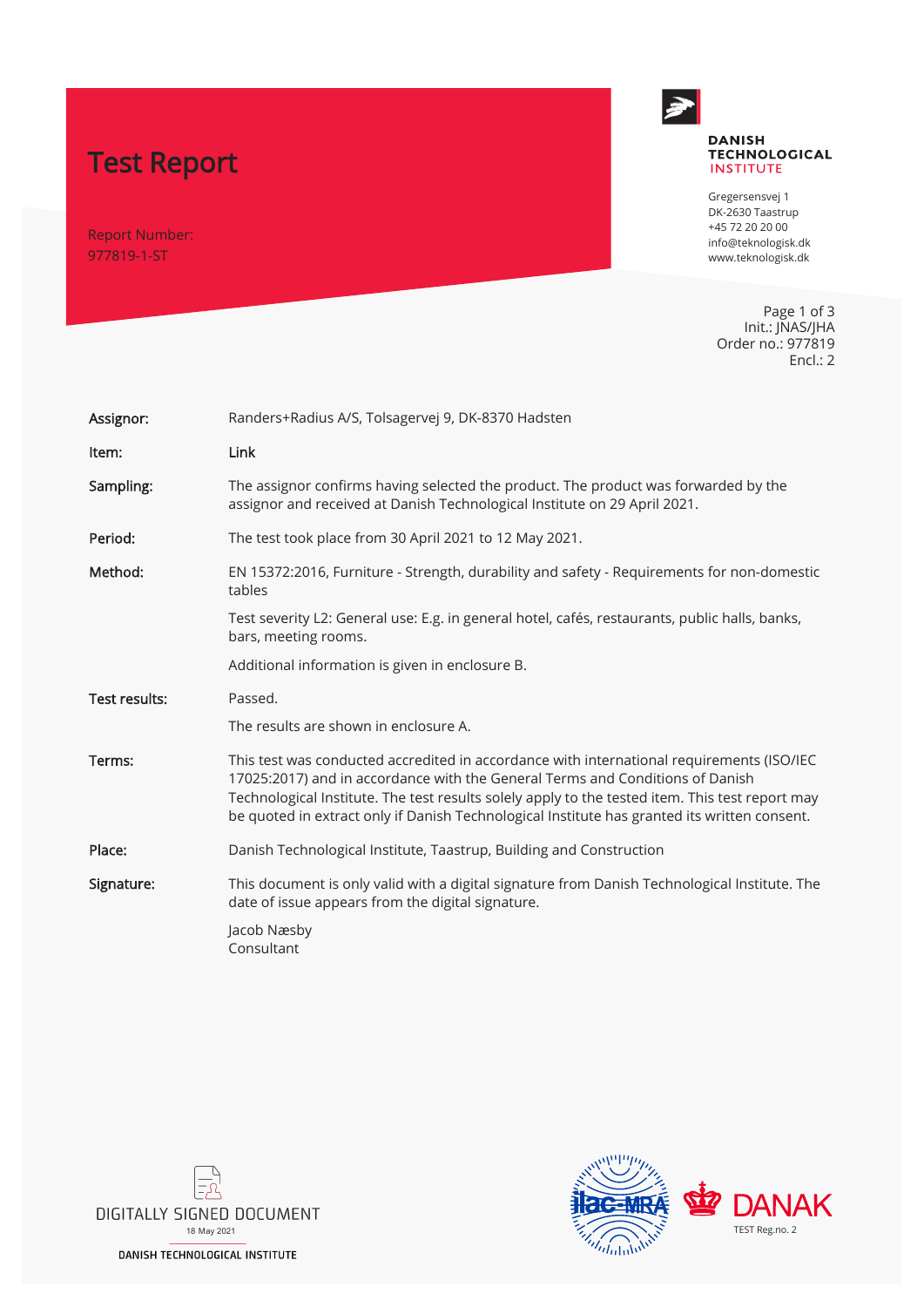# Test Report

Report Number: 977819-1-ST



#### **DANISH TECHNOLOGICAL INSTITUTE**

Gregersensvej 1 DK-2630 Taastrup +45 72 20 20 00 info@teknologisk.dk www.teknologisk.dk

Page 1 of 3 Init.: JNAS/JHA Order no.: 977819 Encl.: 2

| Assignor:     | Randers+Radius A/S, Tolsagervej 9, DK-8370 Hadsten                                                                                                                                                                                                                                                                                                                            |  |  |  |  |
|---------------|-------------------------------------------------------------------------------------------------------------------------------------------------------------------------------------------------------------------------------------------------------------------------------------------------------------------------------------------------------------------------------|--|--|--|--|
| Item:         | Link                                                                                                                                                                                                                                                                                                                                                                          |  |  |  |  |
| Sampling:     | The assignor confirms having selected the product. The product was forwarded by the<br>assignor and received at Danish Technological Institute on 29 April 2021.                                                                                                                                                                                                              |  |  |  |  |
| Period:       | The test took place from 30 April 2021 to 12 May 2021.                                                                                                                                                                                                                                                                                                                        |  |  |  |  |
| Method:       | EN 15372:2016, Furniture - Strength, durability and safety - Requirements for non-domestic<br>tables                                                                                                                                                                                                                                                                          |  |  |  |  |
|               | Test severity L2: General use: E.g. in general hotel, cafés, restaurants, public halls, banks,<br>bars, meeting rooms.                                                                                                                                                                                                                                                        |  |  |  |  |
|               | Additional information is given in enclosure B.                                                                                                                                                                                                                                                                                                                               |  |  |  |  |
|               |                                                                                                                                                                                                                                                                                                                                                                               |  |  |  |  |
| Test results: | Passed.                                                                                                                                                                                                                                                                                                                                                                       |  |  |  |  |
|               | The results are shown in enclosure A.                                                                                                                                                                                                                                                                                                                                         |  |  |  |  |
| Terms:        | This test was conducted accredited in accordance with international requirements (ISO/IEC<br>17025:2017) and in accordance with the General Terms and Conditions of Danish<br>Technological Institute. The test results solely apply to the tested item. This test report may<br>be quoted in extract only if Danish Technological Institute has granted its written consent. |  |  |  |  |
| Place:        | Danish Technological Institute, Taastrup, Building and Construction                                                                                                                                                                                                                                                                                                           |  |  |  |  |
| Signature:    | This document is only valid with a digital signature from Danish Technological Institute. The<br>date of issue appears from the digital signature.                                                                                                                                                                                                                            |  |  |  |  |



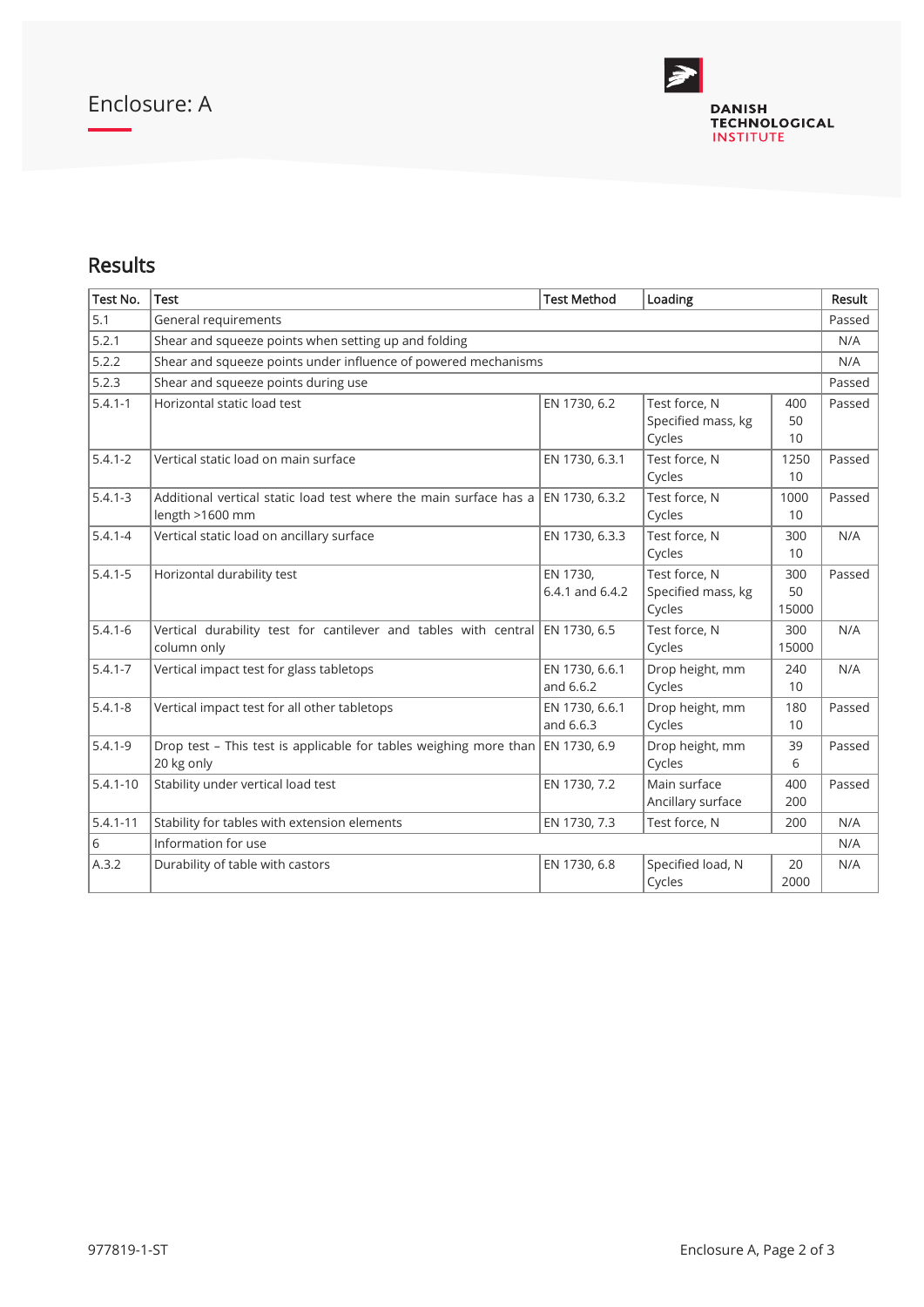

### Results

| Test No.     | <b>Test</b>                                                                                     | <b>Test Method</b>          | Loading                                       |                    | Result |  |  |
|--------------|-------------------------------------------------------------------------------------------------|-----------------------------|-----------------------------------------------|--------------------|--------|--|--|
| 5.1          | General requirements                                                                            |                             |                                               |                    |        |  |  |
| 5.2.1        | Shear and squeeze points when setting up and folding                                            |                             |                                               |                    |        |  |  |
| 5.2.2        | Shear and squeeze points under influence of powered mechanisms                                  |                             |                                               |                    |        |  |  |
| 5.2.3        | Shear and squeeze points during use<br>Passed                                                   |                             |                                               |                    |        |  |  |
| $5.4.1 - 1$  | Horizontal static load test                                                                     | EN 1730, 6.2                | Test force, N<br>Specified mass, kg<br>Cycles | 400<br>50<br>10    | Passed |  |  |
| $5.4.1 - 2$  | Vertical static load on main surface                                                            | EN 1730, 6.3.1              | Test force, N<br>Cycles                       | 1250<br>10         | Passed |  |  |
| $5.4.1 - 3$  | Additional vertical static load test where the main surface has a<br>length >1600 mm            | EN 1730, 6.3.2              | Test force, N<br>Cycles                       | 1000<br>10         | Passed |  |  |
| $5.4.1 - 4$  | Vertical static load on ancillary surface                                                       | EN 1730, 6.3.3              | Test force, N<br>Cycles                       | 300<br>10          | N/A    |  |  |
| $5.4.1 - 5$  | Horizontal durability test                                                                      | EN 1730.<br>6.4.1 and 6.4.2 | Test force, N<br>Specified mass, kg<br>Cycles | 300<br>50<br>15000 | Passed |  |  |
| $5.4.1 - 6$  | Vertical durability test for cantilever and tables with central $ EN 1730, 6.5$<br>column only  |                             | Test force, N<br>Cycles                       | 300<br>15000       | N/A    |  |  |
| $5.4.1 - 7$  | Vertical impact test for glass tabletops                                                        | EN 1730, 6.6.1<br>and 6.6.2 | Drop height, mm<br>Cycles                     | 240<br>10          | N/A    |  |  |
| $5.4.1 - 8$  | Vertical impact test for all other tabletops                                                    | EN 1730, 6.6.1<br>and 6.6.3 | Drop height, mm<br>Cycles                     | 180<br>10          | Passed |  |  |
| $5.4.1 - 9$  | Drop test - This test is applicable for tables weighing more than $ EN 1730, 6.9$<br>20 kg only |                             | Drop height, mm<br>Cycles                     | 39<br>6            | Passed |  |  |
| $5.4.1 - 10$ | Stability under vertical load test                                                              | EN 1730, 7.2                | Main surface<br>Ancillary surface             | 400<br>200         | Passed |  |  |
| $5.4.1 - 11$ | Stability for tables with extension elements                                                    | EN 1730, 7.3                | Test force, N                                 | 200                | N/A    |  |  |
| 6            | Information for use                                                                             |                             |                                               |                    |        |  |  |
| A.3.2        | Durability of table with castors                                                                | EN 1730, 6.8                | Specified load, N<br>Cycles                   | 20<br>2000         | N/A    |  |  |